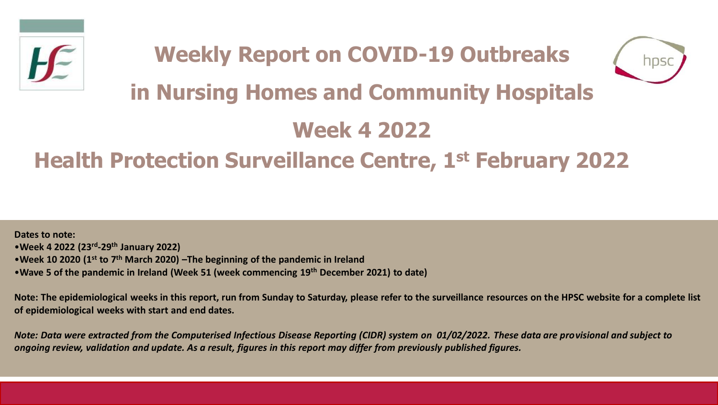



# **in Nursing Homes and Community Hospitals**

## **Week 4 2022**

## **Health Protection Surveillance Centre, 1st February 2022**

**Dates to note:** •**Week 4 2022 (23rd -29th January 2022)** •**Week 10 2020 (1st to 7th March 2020) –The beginning of the pandemic in Ireland**  •**Wave 5 of the pandemic in Ireland (Week 51 (week commencing 19th December 2021) to date)**

**Note: The epidemiological weeks in this report, run from Sunday to Saturday, please refer to the surveillance resources on the HPSC website for a complete list of epidemiological weeks with start and end dates.**

*Note: Data were extracted from the Computerised Infectious Disease Reporting (CIDR) system on 01/02/2022. These data are provisional and subject to ongoing review, validation and update. As a result, figures in this report may differ from previously published figures.*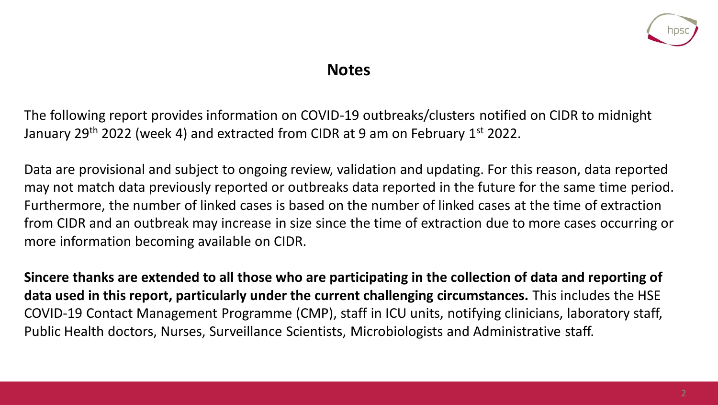

### **Notes**

The following report provides information on COVID-19 outbreaks/clusters notified on CIDR to midnight January 29<sup>th</sup> 2022 (week 4) and extracted from CIDR at 9 am on February 1<sup>st</sup> 2022.

Data are provisional and subject to ongoing review, validation and updating. For this reason, data reported may not match data previously reported or outbreaks data reported in the future for the same time period. Furthermore, the number of linked cases is based on the number of linked cases at the time of extraction from CIDR and an outbreak may increase in size since the time of extraction due to more cases occurring or more information becoming available on CIDR.

**Sincere thanks are extended to all those who are participating in the collection of data and reporting of data used in this report, particularly under the current challenging circumstances.** This includes the HSE COVID-19 Contact Management Programme (CMP), staff in ICU units, notifying clinicians, laboratory staff, Public Health doctors, Nurses, Surveillance Scientists, Microbiologists and Administrative staff.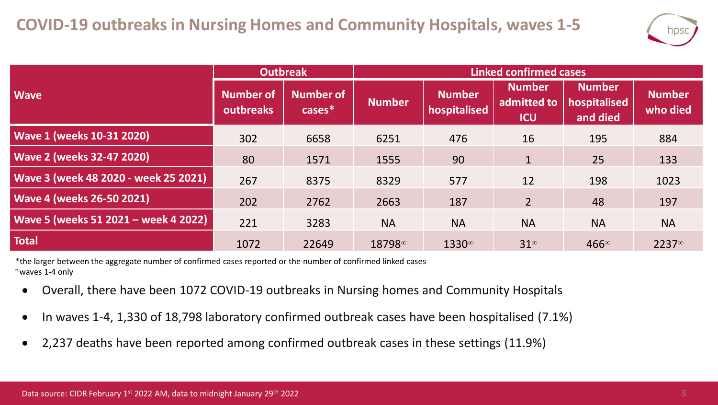

|                                      | Outbreak               |                               | <b>Linked confirmed cases</b>        |                               |                                            |                                           |                           |  |
|--------------------------------------|------------------------|-------------------------------|--------------------------------------|-------------------------------|--------------------------------------------|-------------------------------------------|---------------------------|--|
| <b>Wave</b>                          | Number of<br>outbreaks | <b>Number of</b><br>$cases^*$ | <b>Number</b>                        | <b>Number</b><br>hospitalised | <b>Number</b><br>admitted to<br><b>ICU</b> | <b>Number</b><br>hospitalised<br>and died | <b>Number</b><br>who died |  |
| <b>Wave 1 (weeks 10-31 2020)</b>     | 302                    | 6658                          | 6251                                 | 476                           | 16                                         | 195                                       | 884                       |  |
| <b>Wave 2 (weeks 32-47 2020)</b>     | 80                     | 1571                          | 1555                                 | 90                            | $1\overline{ }$                            | 25                                        | 133                       |  |
| Wave 3 (week 48 2020 - week 25 2021) | 267                    | 8375                          | 8329                                 | 577                           | 12                                         | 198                                       | 1023                      |  |
| <b>Wave 4 (weeks 26-50 2021)</b>     | 202                    | 2762                          | 2663                                 | 187                           | $\overline{2}$                             | 48                                        | 197                       |  |
| Wave 5 (weeks 51 2021 - week 4 2022) | 221                    | 3283                          | <b>NA</b>                            | <b>NA</b>                     | <b>NA</b>                                  | <b>NA</b>                                 | <b>NA</b>                 |  |
| <b>Total</b>                         | 1072                   | 22649                         | 18798 <sup><math>\infty</math></sup> | 1330∞                         | $31^{\circ}$                               | $466^{\circ}$                             | $2237^\circ$              |  |

\*the larger between the aggregate number of confirmed cases reported or the number of confirmed linked cases  $^{\infty}$ waves 1-4 only

- Overall, there have been 1072 COVID-19 outbreaks in Nursing homes and Community Hospitals
- In waves 1-4, 1,330 of 18,798 laboratory confirmed outbreak cases have been hospitalised (7.1%)
- 2,237 deaths have been reported among confirmed outbreak cases in these settings (11.9%)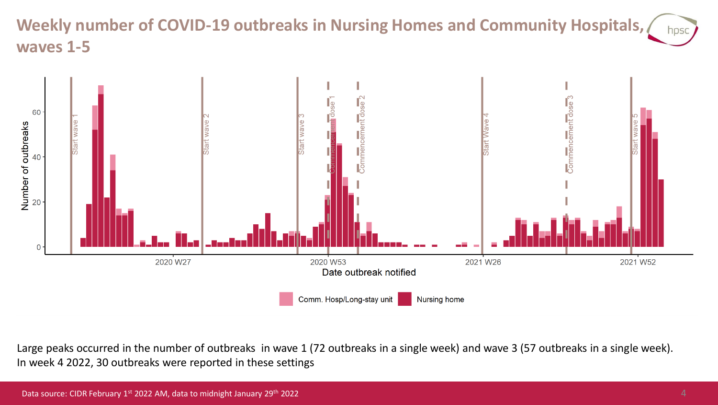#### **Weekly number of COVID-19 outbreaks in Nursing Homes and Community Hospitals,**  hpsc **waves 1-5**



Large peaks occurred in the number of outbreaks in wave 1 (72 outbreaks in a single week) and wave 3 (57 outbreaks in a single week). In week 4 2022, 30 outbreaks were reported in these settings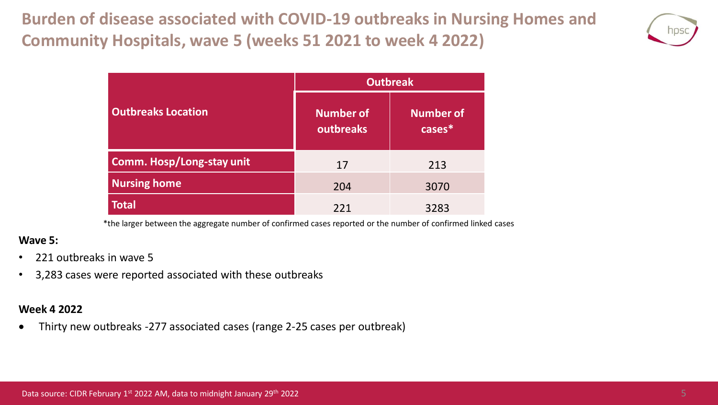**Burden of disease associated with COVID-19 outbreaks in Nursing Homes and Community Hospitals, wave 5 (weeks 51 2021 to week 4 2022)**



|                                  | <b>Outbreak</b>               |                            |  |  |  |
|----------------------------------|-------------------------------|----------------------------|--|--|--|
| <b>Outbreaks Location</b>        | <b>Number of</b><br>outbreaks | <b>Number of</b><br>cases* |  |  |  |
| <b>Comm. Hosp/Long-stay unit</b> | 17                            | 213                        |  |  |  |
| <b>Nursing home</b>              | 204                           | 3070                       |  |  |  |
| Total                            | 221                           | 3283                       |  |  |  |

\*the larger between the aggregate number of confirmed cases reported or the number of confirmed linked cases

#### **Wave 5:**

- 221 outbreaks in wave 5
- 3,283 cases were reported associated with these outbreaks

#### **Week 4 2022**

• Thirty new outbreaks -277 associated cases (range 2-25 cases per outbreak)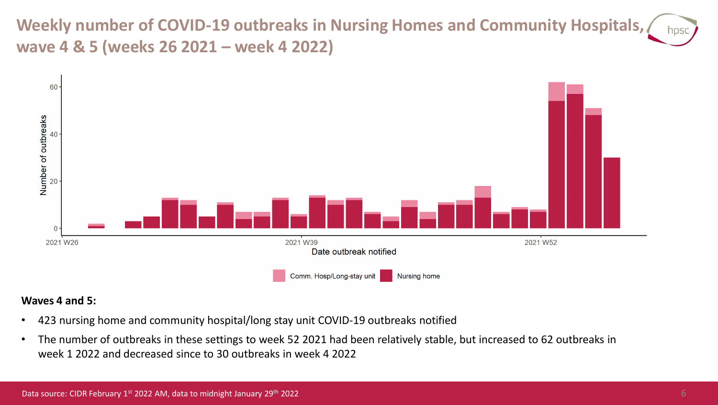**Weekly number of COVID-19 outbreaks in Nursing Homes and Community Hospitals, wave 4 & 5 (weeks 26 2021 – week 4 2022)**



#### **Waves 4 and 5:**

- 423 nursing home and community hospital/long stay unit COVID-19 outbreaks notified
- The number of outbreaks in these settings to week 52 2021 had been relatively stable, but increased to 62 outbreaks in week 1 2022 and decreased since to 30 outbreaks in week 4 2022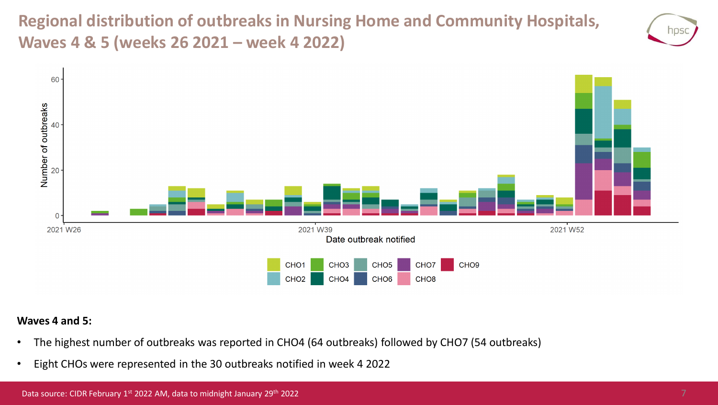**Regional distribution of outbreaks in Nursing Home and Community Hospitals, Waves 4 & 5 (weeks 26 2021 – week 4 2022)**





#### **Waves 4 and 5:**

- The highest number of outbreaks was reported in CHO4 (64 outbreaks) followed by CHO7 (54 outbreaks)
- Eight CHOs were represented in the 30 outbreaks notified in week 4 2022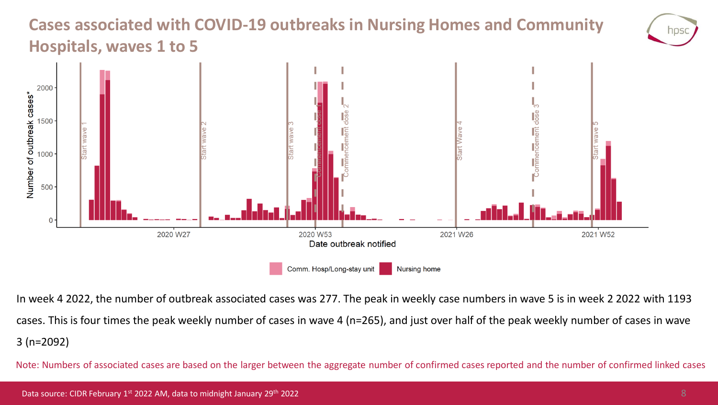### **Cases associated with COVID-19 outbreaks in Nursing Homes and Community Hospitals, waves 1 to 5**



In week 4 2022, the number of outbreak associated cases was 277. The peak in weekly case numbers in wave 5 is in week 2 2022 with 1193 cases. This is four times the peak weekly number of cases in wave 4 (n=265), and just over half of the peak weekly number of cases in wave 3 (n=2092)

Note: Numbers of associated cases are based on the larger between the aggregate number of confirmed cases reported and the number of confirmed linked cases

NDS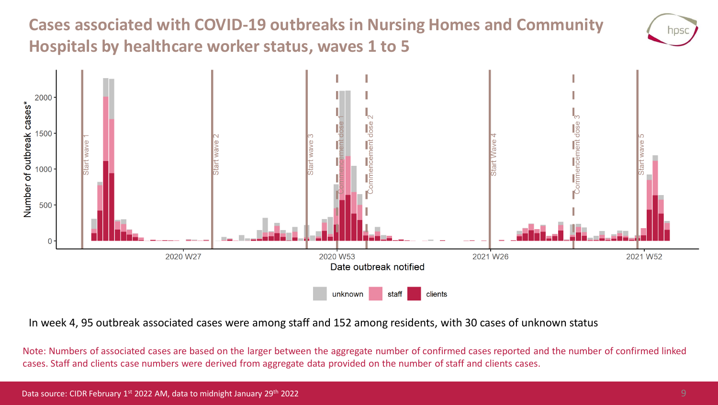## **Cases associated with COVID-19 outbreaks in Nursing Homes and Community Hospitals by healthcare worker status, waves 1 to 5**



In week 4, 95 outbreak associated cases were among staff and 152 among residents, with 30 cases of unknown status

Note: Numbers of associated cases are based on the larger between the aggregate number of confirmed cases reported and the number of confirmed linked cases. Staff and clients case numbers were derived from aggregate data provided on the number of staff and clients cases.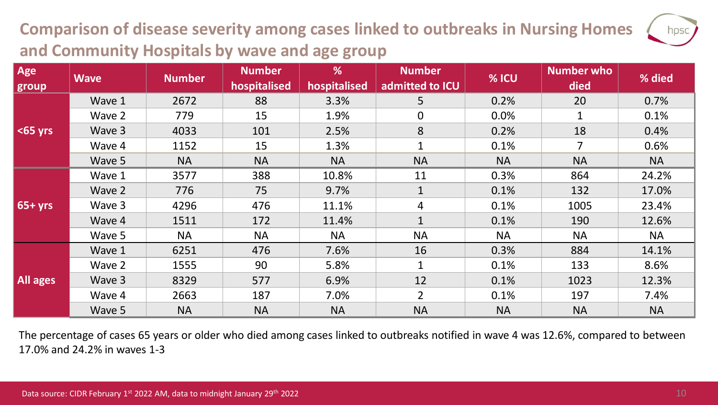## **Comparison of disease severity among cases linked to outbreaks in Nursing Homes and Community Hospitals by wave and age group**

| Age<br>group    | <b>Wave</b> | <b>Number</b> | <b>Number</b><br>hospitalised | %<br>hospitalised | <b>Number</b><br>admitted to ICU | % ICU     | <b>Number who</b><br>died | % died    |
|-----------------|-------------|---------------|-------------------------------|-------------------|----------------------------------|-----------|---------------------------|-----------|
| $65$ yrs        | Wave 1      | 2672          | 88                            | 3.3%              | 5 <sup>5</sup>                   | 0.2%      | 20                        | 0.7%      |
|                 | Wave 2      | 779           | 15                            | 1.9%              | $\mathbf 0$                      | 0.0%      |                           | 0.1%      |
|                 | Wave 3      | 4033          | 101                           | 2.5%              | 8                                | 0.2%      | 18                        | 0.4%      |
|                 | Wave 4      | 1152          | 15                            | 1.3%              | $\mathbf{1}$                     | 0.1%      | $\overline{7}$            | 0.6%      |
|                 | Wave 5      | <b>NA</b>     | <b>NA</b>                     | <b>NA</b>         | <b>NA</b>                        | <b>NA</b> | <b>NA</b>                 | <b>NA</b> |
| $65 + yrs$      | Wave 1      | 3577          | 388                           | 10.8%             | 11                               | 0.3%      | 864                       | 24.2%     |
|                 | Wave 2      | 776           | 75                            | 9.7%              | $\mathbf{1}$                     | 0.1%      | 132                       | 17.0%     |
|                 | Wave 3      | 4296          | 476                           | 11.1%             | $\overline{4}$                   | 0.1%      | 1005                      | 23.4%     |
|                 | Wave 4      | 1511          | 172                           | 11.4%             | $\mathbf{1}$                     | 0.1%      | 190                       | 12.6%     |
|                 | Wave 5      | <b>NA</b>     | <b>NA</b>                     | <b>NA</b>         | <b>NA</b>                        | <b>NA</b> | <b>NA</b>                 | <b>NA</b> |
| <b>All ages</b> | Wave 1      | 6251          | 476                           | 7.6%              | 16                               | 0.3%      | 884                       | 14.1%     |
|                 | Wave 2      | 1555          | 90                            | 5.8%              | $\mathbf{1}$                     | 0.1%      | 133                       | 8.6%      |
|                 | Wave 3      | 8329          | 577                           | 6.9%              | 12                               | 0.1%      | 1023                      | 12.3%     |
|                 | Wave 4      | 2663          | 187                           | 7.0%              | $\overline{2}$                   | 0.1%      | 197                       | 7.4%      |
|                 | Wave 5      | <b>NA</b>     | <b>NA</b>                     | <b>NA</b>         | <b>NA</b>                        | <b>NA</b> | <b>NA</b>                 | <b>NA</b> |

The percentage of cases 65 years or older who died among cases linked to outbreaks notified in wave 4 was 12.6%, compared to between 17.0% and 24.2% in waves 1-3

hpsc